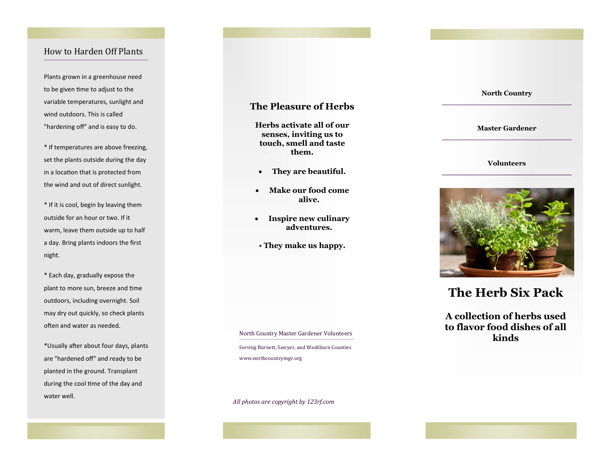## How to Harden Off Plants

Plants grown in a greenhouse need to be given time to adjust to the variable temperatures, sunlight and wind outdoors. This is called "hardening off" and is easy to do.

\* If temperatures are above freezing, set the plants outside during the day in a location that is protected from the wind and out of direct sunlight.

\* If it is cool, begin by leaving them outside for an hour or two. If it warm, leave them outside up to half a day. Bring plants indoors the first night.

\* Each day, gradually expose the plant to more sun, breeze and time outdoors, including overnight. Soil may dry out quickly, so check plants often and water as needed.

\*Usually after about four days, plants are "hardened off" and ready to be planted in the ground. Transplant during the cool time of the day and water well.

## **The Pleasure of Herbs**

**Herbs activate all of our senses, inviting us to touch, smell and taste them.** 

- **They are beautiful.**
- **Make our food come alive.**
- **Inspire new culinary adventures.**
- **They make us happy.**

North Country Master Gardener Volunteers<br> **kinds** Serving Burnett, Sawyer, and Washburn Counties www.northcountrymgv.org

*All photos are copyright by 123rf.com* 

#### **North Country**

#### **Master Gardener**

#### **Volunteers**



# **The Herb Six Pack**

**A collection of herbs used to flavor food dishes of all**